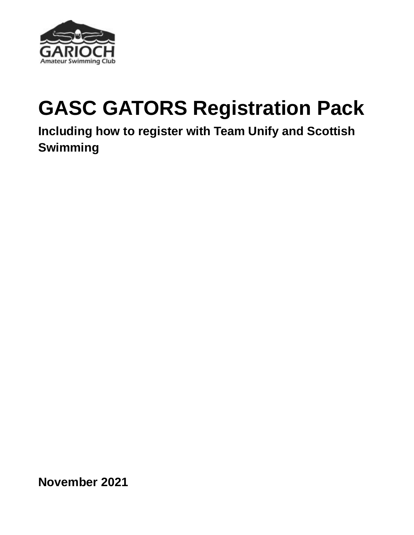

# **GASC GATORS Registration Pack**

**Including how to register with Team Unify and Scottish Swimming**

**November 2021**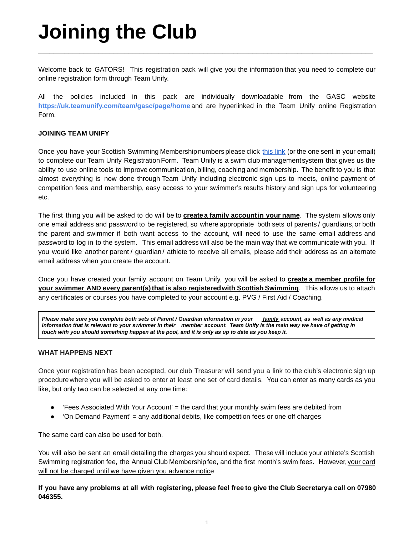# **Joining the Club**

Welcome back to GATORS! This registration pack will give you the information that you need to complete our online registration form through Team Unify.

**\_\_\_\_\_\_\_\_\_\_\_\_\_\_\_\_\_\_\_\_\_\_\_\_\_\_\_\_\_\_\_\_\_\_\_\_\_\_\_\_\_\_\_\_\_\_\_\_\_\_\_\_\_\_\_\_\_\_\_\_\_\_\_\_\_\_\_\_\_\_\_\_\_\_\_\_\_\_\_\_\_\_\_\_\_\_\_\_\_**

All the policies included in this pack are individually downloadable from the GASC website **https://uk.teamunify.com/team/gasc/page/home** and are hyperlinked in the Team Unify online Registration Form.

### **JOINING TEAM UNIFY**

Once you have your Scottish Swimming Membershipnumbers please click [this](http://uk.teamunify.com/MemRegStart.jsp?team=gasc) link (or the one sent in your email) to complete our Team Unify Registration Form. Team Unify is a swim club managementsystem that gives us the ability to use online tools to improve communication, billing, coaching and membership. The benefit to you is that almost everything is now done through Team Unify including electronic sign ups to meets, online payment of competition fees and membership, easy access to your swimmer's results history and sign ups for volunteering etc.

The first thing you will be asked to do will be to **createa family accountin your name**. The system allows only one email address and password to be registered, so where appropriate both sets of parents / guardians,or both the parent and swimmer if both want access to the account, will need to use the same email address and password to log in to the system. This email address will also be the main way that we communicate with you. If you would like another parent / guardian / athlete to receive all emails, please add their address as an alternate email address when you create the account.

Once you have created your family account on Team Unify, you will be asked to **create a member profile for your swimmer AND every parent(s)that is also registeredwith Scottish Swimming**. This allows us to attach any certificates or courses you have completed to your account e.g. PVG / First Aid / Coaching.

Please make sure you complete both sets of Parent / Guardian information in your family account, as well as any medical information that is relevant to your swimmer in their member account. Team Unify is the main way we have of getting in touch with you should something happen at the pool, and it is only as up to date as you keep it.

#### **WHAT HAPPENS NEXT**

Once your registration has been accepted, our club Treasurer will send you a link to the club's electronic sign up procedure where you will be asked to enter at least one set of card details. You can enter as many cards as you like, but only two can be selected at any one time:

- 'Fees Associated With Your Account' = the card that your monthly swim fees are debited from
- 'On Demand Payment' = any additional debits, like competition fees or one off charges

The same card can also be used for both.

You will also be sent an email detailing the charges you should expect. These will include your athlete's Scottish Swimming registration fee, the Annual Club Membershipfee, and the first month's swim fees. However,your card will not be charged until we have given you advance notice.

If you have any problems at all with registering, please feel free to give the Club Secretarya call on 07980 **046355.**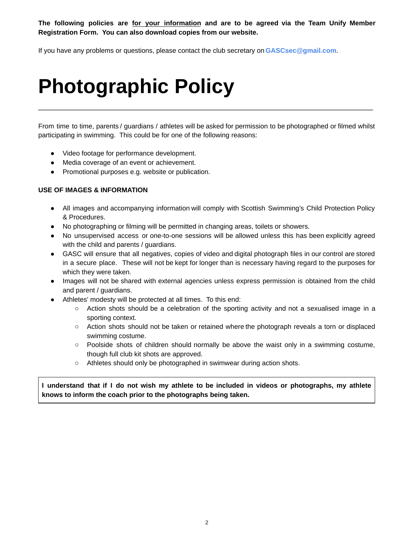**The following policies are for your information and are to be agreed via the Team Unify Member Registration Form. You can also download copies from our website.**

If you have any problems or questions, please contact the club secretary on **GASCsec@gmail.com**.

## **Photographic Policy**

From time to time, parents / guardians / athletes will be asked for permission to be photographed or filmed whilst participating in swimming. This could be for one of the following reasons:

 $\mathcal{L}_\mathcal{L} = \mathcal{L}_\mathcal{L} = \mathcal{L}_\mathcal{L} = \mathcal{L}_\mathcal{L} = \mathcal{L}_\mathcal{L} = \mathcal{L}_\mathcal{L} = \mathcal{L}_\mathcal{L} = \mathcal{L}_\mathcal{L} = \mathcal{L}_\mathcal{L} = \mathcal{L}_\mathcal{L} = \mathcal{L}_\mathcal{L} = \mathcal{L}_\mathcal{L} = \mathcal{L}_\mathcal{L} = \mathcal{L}_\mathcal{L} = \mathcal{L}_\mathcal{L} = \mathcal{L}_\mathcal{L} = \mathcal{L}_\mathcal{L}$ 

- Video footage for performance development.
- Media coverage of an event or achievement.
- Promotional purposes e.g. website or publication.

### **USE OF IMAGES & INFORMATION**

- All images and accompanying information will comply with Scottish Swimming's Child Protection Policy & Procedures.
- No photographing or filming will be permitted in changing areas, toilets or showers.
- No unsupervised access or one-to-one sessions will be allowed unless this has been explicitly agreed with the child and parents / guardians.
- GASC will ensure that all negatives, copies of video and digital photograph files in our control are stored in a secure place. These will not be kept for longer than is necessary having regard to the purposes for which they were taken.
- Images will not be shared with external agencies unless express permission is obtained from the child and parent / guardians.
- Athletes' modesty will be protected at all times. To this end:
	- Action shots should be a celebration of the sporting activity and not a sexualised image in a sporting context.
	- Action shots should not be taken or retained where the photograph reveals a torn or displaced swimming costume.
	- Poolside shots of children should normally be above the waist only in a swimming costume, though full club kit shots are approved.
	- Athletes should only be photographed in swimwear during action shots.

I understand that if I do not wish my athlete to be included in videos or photographs, my athlete **knows to inform the coach prior to the photographs being taken.**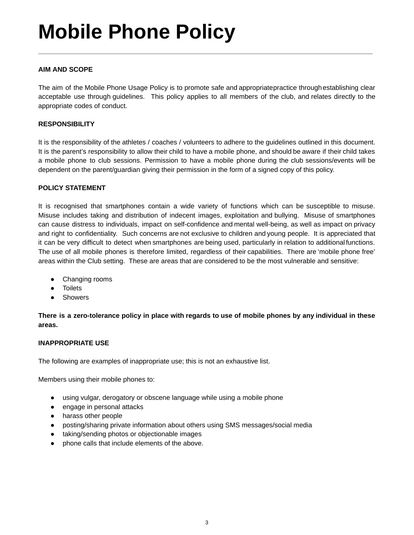## **Mobile Phone Policy**

### **AIM AND SCOPE**

The aim of the Mobile Phone Usage Policy is to promote safe and appropriatepractice throughestablishing clear acceptable use through guidelines. This policy applies to all members of the club, and relates directly to the appropriate codes of conduct.

**\_\_\_\_\_\_\_\_\_\_\_\_\_\_\_\_\_\_\_\_\_\_\_\_\_\_\_\_\_\_\_\_\_\_\_\_\_\_\_\_\_\_\_\_\_\_\_\_\_\_\_\_\_\_\_\_\_\_\_\_\_\_\_\_\_\_\_\_\_\_\_\_\_\_\_\_\_\_\_\_\_\_\_\_\_\_\_\_\_**

### **RESPONSIBILITY**

It is the responsibility of the athletes / coaches / volunteers to adhere to the guidelines outlined in this document. It is the parent's responsibility to allow their child to have a mobile phone, and should be aware if their child takes a mobile phone to club sessions. Permission to have a mobile phone during the club sessions/events will be dependent on the parent/guardian giving their permission in the form of a signed copy of this policy.

### **POLICY STATEMENT**

It is recognised that smartphones contain a wide variety of functions which can be susceptible to misuse. Misuse includes taking and distribution of indecent images, exploitation and bullying. Misuse of smartphones can cause distress to individuals, impact on self-confidence and mental well-being, as well as impact on privacy and right to confidentiality. Such concerns are not exclusive to children and young people. It is appreciated that it can be very difficult to detect when smartphones are being used, particularly in relation to additional functions. The use of all mobile phones is therefore limited, regardless of their capabilities. There are 'mobile phone free' areas within the Club setting. These are areas that are considered to be the most vulnerable and sensitive:

- Changing rooms
- Toilets
- Showers

There is a zero-tolerance policy in place with regards to use of mobile phones by any individual in these **areas.**

#### **INAPPROPRIATE USE**

The following are examples of inappropriate use; this is not an exhaustive list.

Members using their mobile phones to:

- using vulgar, derogatory or obscene language while using a mobile phone
- engage in personal attacks
- harass other people
- posting/sharing private information about others using SMS messages/social media
- taking/sending photos or objectionable images
- phone calls that include elements of the above.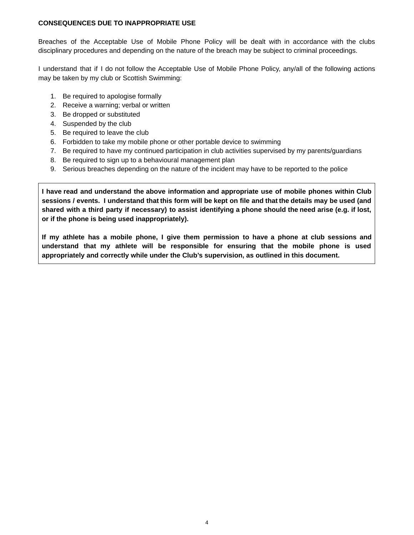### **CONSEQUENCES DUE TO INAPPROPRIATE USE**

Breaches of the Acceptable Use of Mobile Phone Policy will be dealt with in accordance with the clubs disciplinary procedures and depending on the nature of the breach may be subject to criminal proceedings.

I understand that if I do not follow the Acceptable Use of Mobile Phone Policy, any/all of the following actions may be taken by my club or Scottish Swimming:

- 1. Be required to apologise formally
- 2. Receive a warning; verbal or written
- 3. Be dropped or substituted
- 4. Suspended by the club
- 5. Be required to leave the club
- 6. Forbidden to take my mobile phone or other portable device to swimming
- 7. Be required to have my continued participation in club activities supervised by my parents/guardians
- 8. Be required to sign up to a behavioural management plan
- 9. Serious breaches depending on the nature of the incident may have to be reported to the police

**I have read and understand the above information and appropriate use of mobile phones within Club** sessions / events. I understand that this form will be kept on file and that the details may be used (and shared with a third party if necessary) to assist identifying a phone should the need arise (e.g. if lost, **or if the phone is being used inappropriately).**

If my athlete has a mobile phone, I give them permission to have a phone at club sessions and **understand that my athlete will be responsible for ensuring that the mobile phone is used appropriately and correctly while under the Club's supervision, as outlined in this document.**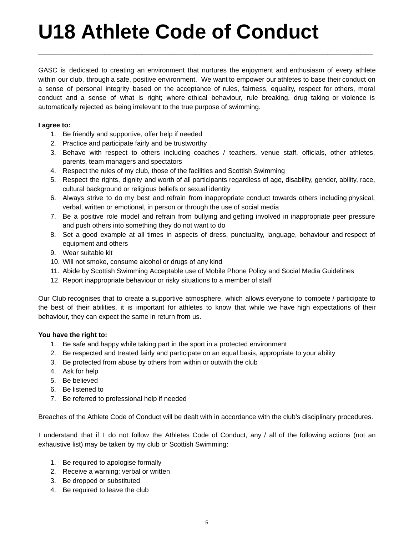# **U18 Athlete Code of Conduct**

GASC is dedicated to creating an environment that nurtures the enjoyment and enthusiasm of every athlete within our club, through a safe, positive environment. We want to empower our athletes to base their conduct on a sense of personal integrity based on the acceptance of rules, fairness, equality, respect for others, moral conduct and a sense of what is right; where ethical behaviour, rule breaking, drug taking or violence is automatically rejected as being irrelevant to the true purpose of swimming.

**\_\_\_\_\_\_\_\_\_\_\_\_\_\_\_\_\_\_\_\_\_\_\_\_\_\_\_\_\_\_\_\_\_\_\_\_\_\_\_\_\_\_\_\_\_\_\_\_\_\_\_\_\_\_\_\_\_\_\_\_\_\_\_\_\_\_\_\_\_\_\_\_\_\_\_\_\_\_\_\_\_**

### **I agree to:**

- 1. Be friendly and supportive, offer help if needed
- 2. Practice and participate fairly and be trustworthy
- 3. Behave with respect to others including coaches / teachers, venue staff, officials, other athletes, parents, team managers and spectators
- 4. Respect the rules of my club, those of the facilities and Scottish Swimming
- 5. Respect the rights, dignity and worth of all participants regardless of age, disability, gender, ability, race, cultural background or religious beliefs or sexual identity
- 6. Always strive to do my best and refrain from inappropriate conduct towards others including physical, verbal, written or emotional, in person or through the use of social media
- 7. Be a positive role model and refrain from bullying and getting involved in inappropriate peer pressure and push others into something they do not want to do
- 8. Set a good example at all times in aspects of dress, punctuality, language, behaviour and respect of equipment and others
- 9. Wear suitable kit
- 10. Will not smoke, consume alcohol or drugs of any kind
- 11. Abide by Scottish Swimming Acceptable use of Mobile Phone Policy and Social Media Guidelines
- 12. Report inappropriate behaviour or risky situations to a member of staff

Our Club recognises that to create a supportive atmosphere, which allows everyone to compete / participate to the best of their abilities, it is important for athletes to know that while we have high expectations of their behaviour, they can expect the same in return from us.

### **You have the right to:**

- 1. Be safe and happy while taking part in the sport in a protected environment
- 2. Be respected and treated fairly and participate on an equal basis, appropriate to your ability
- 3. Be protected from abuse by others from within or outwith the club
- 4. Ask for help
- 5. Be believed
- 6. Be listened to
- 7. Be referred to professional help if needed

Breaches of the Athlete Code of Conduct will be dealt with in accordance with the club's disciplinary procedures.

I understand that if I do not follow the Athletes Code of Conduct, any / all of the following actions (not an exhaustive list) may be taken by my club or Scottish Swimming:

- 1. Be required to apologise formally
- 2. Receive a warning; verbal or written
- 3. Be dropped or substituted
- 4. Be required to leave the club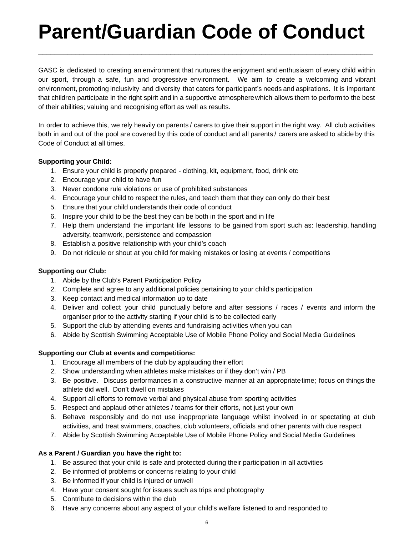# **Parent/Guardian Code of Conduct**

**\_\_\_\_\_\_\_\_\_\_\_\_\_\_\_\_\_\_\_\_\_\_\_\_\_\_\_\_\_\_\_\_\_\_\_\_\_\_\_\_\_\_\_\_\_\_\_\_\_\_\_\_\_\_\_\_\_\_\_\_\_\_\_\_\_\_\_\_\_\_\_\_\_\_\_\_\_\_\_\_\_**

GASC is dedicated to creating an environment that nurtures the enjoyment and enthusiasm of every child within our sport, through a safe, fun and progressive environment. We aim to create a welcoming and vibrant environment, promoting inclusivity and diversity that caters for participant's needs and aspirations. It is important that children participate in the right spirit and in a supportive atmospherewhich allows them to perform to the best of their abilities; valuing and recognising effort as well as results.

In order to achieve this, we rely heavily on parents / carers to give their support in the right way. All club activities both in and out of the pool are covered by this code of conduct and all parents / carers are asked to abide by this Code of Conduct at all times.

### **Supporting your Child:**

- 1. Ensure your child is properly prepared clothing, kit, equipment, food, drink etc
- 2. Encourage your child to have fun
- 3. Never condone rule violations or use of prohibited substances
- 4. Encourage your child to respect the rules, and teach them that they can only do their best
- 5. Ensure that your child understands their code of conduct
- 6. Inspire your child to be the best they can be both in the sport and in life
- 7. Help them understand the important life lessons to be gained from sport such as: leadership, handling adversity, teamwork, persistence and compassion
- 8. Establish a positive relationship with your child's coach
- 9. Do not ridicule or shout at you child for making mistakes or losing at events / competitions

### **Supporting our Club:**

- 1. Abide by the Club's Parent Participation Policy
- 2. Complete and agree to any additional policies pertaining to your child's participation
- 3. Keep contact and medical information up to date
- 4. Deliver and collect your child punctually before and after sessions / races / events and inform the organiser prior to the activity starting if your child is to be collected early
- 5. Support the club by attending events and fundraising activities when you can
- 6. Abide by Scottish Swimming Acceptable Use of Mobile Phone Policy and Social Media Guidelines

### **Supporting our Club at events and competitions:**

- 1. Encourage all members of the club by applauding their effort
- 2. Show understanding when athletes make mistakes or if they don't win / PB
- 3. Be positive. Discuss performances in a constructive manner at an appropriatetime; focus on things the athlete did well. Don't dwell on mistakes
- 4. Support all efforts to remove verbal and physical abuse from sporting activities
- 5. Respect and applaud other athletes / teams for their efforts, not just your own
- 6. Behave responsibly and do not use inappropriate language whilst involved in or spectating at club activities, and treat swimmers, coaches, club volunteers, officials and other parents with due respect
- 7. Abide by Scottish Swimming Acceptable Use of Mobile Phone Policy and Social Media Guidelines

### **As a Parent / Guardian you have the right to:**

- 1. Be assured that your child is safe and protected during their participation in all activities
- 2. Be informed of problems or concerns relating to your child
- 3. Be informed if your child is injured or unwell
- 4. Have your consent sought for issues such as trips and photography
- 5. Contribute to decisions within the club
- 6. Have any concerns about any aspect of your child's welfare listened to and responded to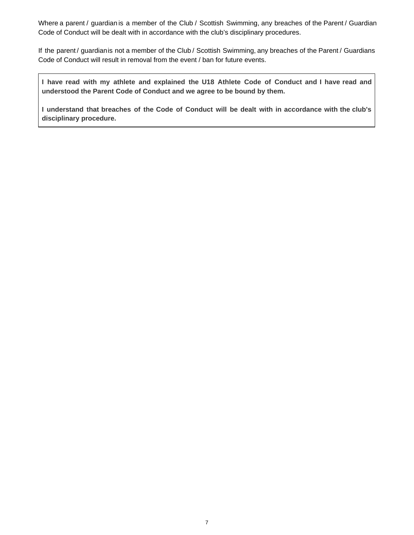Where a parent / guardian is a member of the Club / Scottish Swimming, any breaches of the Parent / Guardian Code of Conduct will be dealt with in accordance with the club's disciplinary procedures.

If the parent / guardianis not a member of the Club / Scottish Swimming, any breaches of the Parent / Guardians Code of Conduct will result in removal from the event / ban for future events.

I have read with my athlete and explained the U18 Athlete Code of Conduct and I have read and **understood the Parent Code of Conduct and we agree to be bound by them.**

**I understand that breaches of the Code of Conduct will be dealt with in accordance with the club's disciplinary procedure.**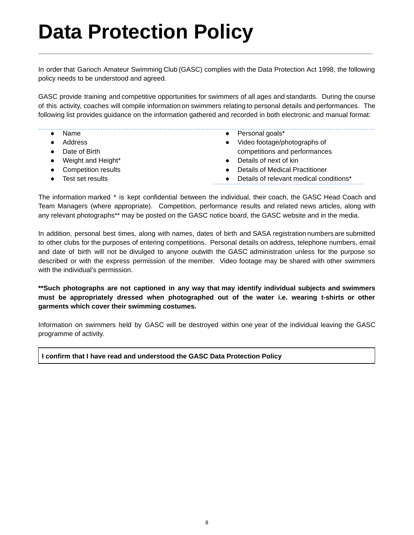## **Data Protection Policy**

In order that Garioch Amateur Swimming Club (GASC) complies with the Data Protection Act 1998, the following policy needs to be understood and agreed.

**\_\_\_\_\_\_\_\_\_\_\_\_\_\_\_\_\_\_\_\_\_\_\_\_\_\_\_\_\_\_\_\_\_\_\_\_\_\_\_\_\_\_\_\_\_\_\_\_\_\_\_\_\_\_\_\_\_\_\_\_\_\_\_\_\_\_\_\_\_\_\_\_\_\_\_\_\_\_\_\_\_\_\_\_\_\_\_\_\_**

GASC provide training and competitive opportunities for swimmers of all ages and standards. During the course of this activity, coaches will compile information on swimmers relating to personal details and performances. The following list provides guidance on the information gathered and recorded in both electronic and manual format:

- Name
	- Address
	- Date of Birth
	- Weight and Height\*
- Competition results
- Test set results
- Personal goals\* ● Video footage/photographs of
- competitions and performances
- Details of next of kin
- Details of Medical Practitioner
- Details of relevant medical conditions\*

The information marked \* is kept confidential between the individual, their coach, the GASC Head Coach and Team Managers (where appropriate). Competition, performance results and related news articles, along with any relevant photographs\*\* may be posted on the GASC notice board, the GASC website and in the media.

In addition, personal best times, along with names, dates of birth and SASA registration numbers are submitted to other clubs for the purposes of entering competitions. Personal details on address, telephone numbers, email and date of birth will not be divulged to anyone outwith the GASC administration unless for the purpose so described or with the express permission of the member. Video footage may be shared with other swimmers with the individual's permission.

**\*\*Such photographs are not captioned in any way that may identify individual subjects and swimmers must be appropriately dressed when photographed out of the water i.e. wearing t-shirts or other garments which cover their swimming costumes.**

Information on swimmers held by GASC will be destroyed within one year of the individual leaving the GASC programme of activity.

### **I confirm that I have read and understood the GASC Data Protection Policy**